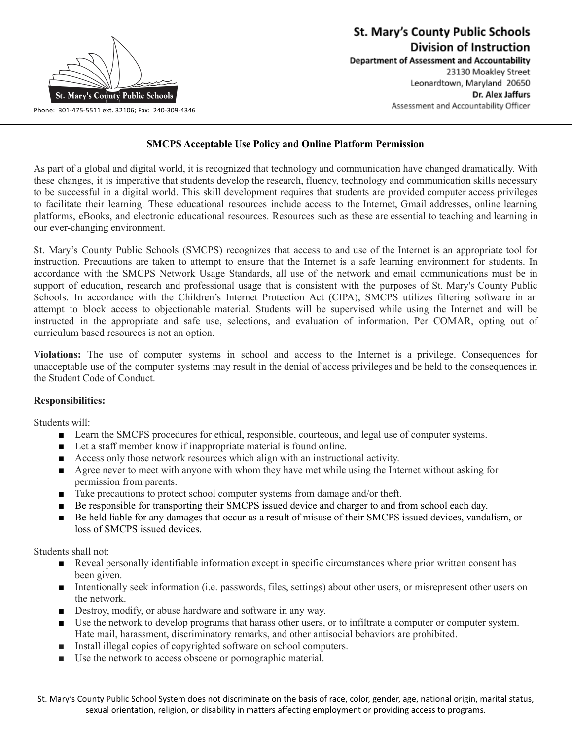

# St. Mary's County Public Schools **Division of Instruction Department of Assessment and Accountability** 23130 Moakley Street Leonardtown, Maryland 20650 Dr. Alex Jaffurs Assessment and Accountability Officer

## **SMCPS Acceptable Use Policy and Online Platform Permission**

As part of a global and digital world, it is recognized that technology and communication have changed dramatically. With these changes, it is imperative that students develop the research, fluency, technology and communication skills necessary to be successful in a digital world. This skill development requires that students are provided computer access privileges to facilitate their learning. These educational resources include access to the Internet, Gmail addresses, online learning platforms, eBooks, and electronic educational resources. Resources such as these are essential to teaching and learning in our ever-changing environment.

St. Mary's County Public Schools (SMCPS) recognizes that access to and use of the Internet is an appropriate tool for instruction. Precautions are taken to attempt to ensure that the Internet is a safe learning environment for students. In accordance with the SMCPS Network Usage Standards, all use of the network and email communications must be in support of education, research and professional usage that is consistent with the purposes of St. Mary's County Public Schools. In accordance with the Children's Internet Protection Act (CIPA), SMCPS utilizes filtering software in an attempt to block access to objectionable material. Students will be supervised while using the Internet and will be instructed in the appropriate and safe use, selections, and evaluation of information. Per COMAR, opting out of curriculum based resources is not an option.

**Violations:** The use of computer systems in school and access to the Internet is a privilege. Consequences for unacceptable use of the computer systems may result in the denial of access privileges and be held to the consequences in the Student Code of Conduct.

#### **Responsibilities:**

Students will:

- Learn the SMCPS procedures for ethical, responsible, courteous, and legal use of computer systems.
- Let a staff member know if inappropriate material is found online.
- Access only those network resources which align with an instructional activity.
- Agree never to meet with anyone with whom they have met while using the Internet without asking for permission from parents.
- Take precautions to protect school computer systems from damage and/or theft.
- Be responsible for transporting their SMCPS issued device and charger to and from school each day.
- Be held liable for any damages that occur as a result of misuse of their SMCPS issued devices, vandalism, or loss of SMCPS issued devices.

Students shall not:

- Reveal personally identifiable information except in specific circumstances where prior written consent has been given.
- Intentionally seek information (i.e. passwords, files, settings) about other users, or misrepresent other users on the network.
- Destroy, modify, or abuse hardware and software in any way.
- Use the network to develop programs that harass other users, or to infiltrate a computer or computer system. Hate mail, harassment, discriminatory remarks, and other antisocial behaviors are prohibited.
- Install illegal copies of copyrighted software on school computers.
- Use the network to access obscene or pornographic material.

St. Mary's County Public School System does not discriminate on the basis of race, color, gender, age, national origin, marital status, sexual orientation, religion, or disability in matters affecting employment or providing access to programs.